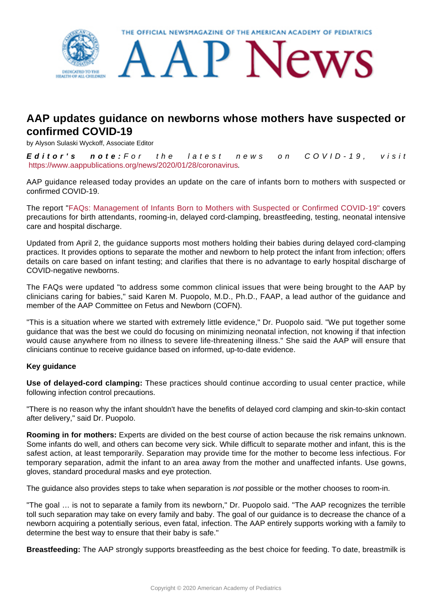

## **AAP updates guidance on newborns whose mothers have suspected or confirmed COVID-19**

by Alyson Sulaski Wyckoff, Associate Editor

**Editor's note:** For the latest news on COVID-19, visit <https://www.aappublications.org/news/2020/01/28/coronavirus>.

AAP guidance released today provides an update on the care of infants born to mothers with suspected or confirmed COVID-19.

The report ["FAQs: Management of Infants Born to Mothers with Suspected or Confirmed COVID-19"](https://services.aap.org/en/pages/2019-novel-coronavirus-covid-19-infections/faqs-management-of-infants-born-to-covid-19-mothers/) covers precautions for birth attendants, rooming-in, delayed cord-clamping, breastfeeding, testing, neonatal intensive care and hospital discharge.

Updated from April 2, the guidance supports most mothers holding their babies during delayed cord-clamping practices. It provides options to separate the mother and newborn to help protect the infant from infection; offers details on care based on infant testing; and clarifies that there is no advantage to early hospital discharge of COVID-negative newborns.

The FAQs were updated "to address some common clinical issues that were being brought to the AAP by clinicians caring for babies," said Karen M. Puopolo, M.D., Ph.D., FAAP, a lead author of the guidance and member of the AAP Committee on Fetus and Newborn (COFN).

"This is a situation where we started with extremely little evidence," Dr. Puopolo said. "We put together some guidance that was the best we could do focusing on minimizing neonatal infection, not knowing if that infection would cause anywhere from no illness to severe life-threatening illness." She said the AAP will ensure that clinicians continue to receive guidance based on informed, up-to-date evidence.

## **Key guidance**

**Use of delayed-cord clamping:** These practices should continue according to usual center practice, while following infection control precautions.

"There is no reason why the infant shouldn't have the benefits of delayed cord clamping and skin-to-skin contact after delivery," said Dr. Puopolo.

**Rooming in for mothers:** Experts are divided on the best course of action because the risk remains unknown. Some infants do well, and others can become very sick. While difficult to separate mother and infant, this is the safest action, at least temporarily. Separation may provide time for the mother to become less infectious. For temporary separation, admit the infant to an area away from the mother and unaffected infants. Use gowns, gloves, standard procedural masks and eye protection.

The guidance also provides steps to take when separation is *not* possible or the mother chooses to room-in.

"The goal … is not to separate a family from its newborn," Dr. Puopolo said. "The AAP recognizes the terrible toll such separation may take on every family and baby. The goal of our guidance is to decrease the chance of a newborn acquiring a potentially serious, even fatal, infection. The AAP entirely supports working with a family to determine the best way to ensure that their baby is safe."

**Breastfeeding:** The AAP strongly supports breastfeeding as the best choice for feeding. To date, breastmilk is